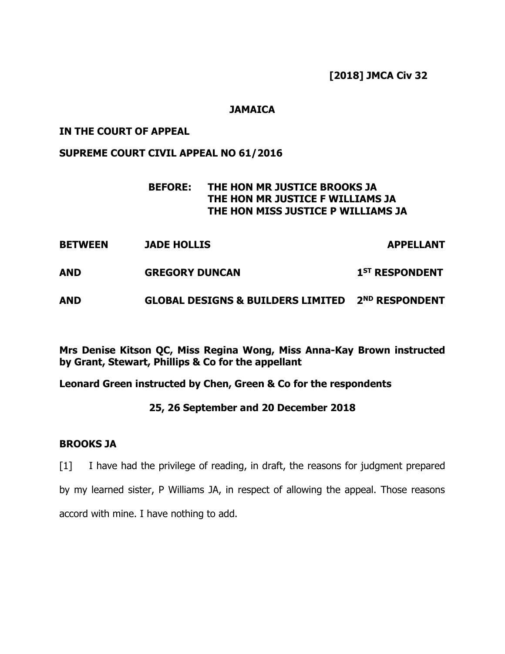**[2018] JMCA Civ 32**

## **JAMAICA**

### **IN THE COURT OF APPEAL**

#### **SUPREME COURT CIVIL APPEAL NO 61/2016**

## **BEFORE: THE HON MR JUSTICE BROOKS JA THE HON MR JUSTICE F WILLIAMS JA THE HON MISS JUSTICE P WILLIAMS JA**

- **BETWEEN JADE HOLLIS APPELLANT**
- **AND GREGORY DUNCAN**  $1<sup>ST</sup>$  **RESPONDENT**
- **AND GLOBAL DESIGNS & BUILDERS LIMITED 2ND RESPONDENT**

**Mrs Denise Kitson QC, Miss Regina Wong, Miss Anna-Kay Brown instructed by Grant, Stewart, Phillips & Co for the appellant**

**Leonard Green instructed by Chen, Green & Co for the respondents**

### **25, 26 September and 20 December 2018**

#### **BROOKS JA**

[1] I have had the privilege of reading, in draft, the reasons for judgment prepared by my learned sister, P Williams JA, in respect of allowing the appeal. Those reasons accord with mine. I have nothing to add.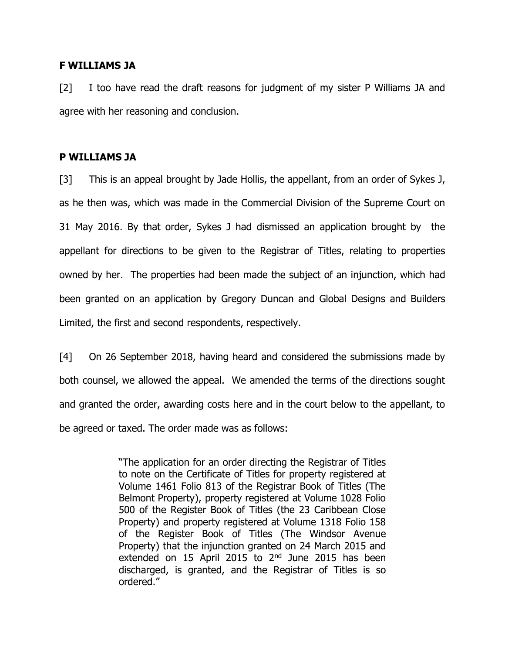#### **F WILLIAMS JA**

[2] I too have read the draft reasons for judgment of my sister P Williams JA and agree with her reasoning and conclusion.

#### **P WILLIAMS JA**

[3] This is an appeal brought by Jade Hollis, the appellant, from an order of Sykes J, as he then was, which was made in the Commercial Division of the Supreme Court on 31 May 2016. By that order, Sykes J had dismissed an application brought by the appellant for directions to be given to the Registrar of Titles, relating to properties owned by her. The properties had been made the subject of an injunction, which had been granted on an application by Gregory Duncan and Global Designs and Builders Limited, the first and second respondents, respectively.

[4] On 26 September 2018, having heard and considered the submissions made by both counsel, we allowed the appeal. We amended the terms of the directions sought and granted the order, awarding costs here and in the court below to the appellant, to be agreed or taxed. The order made was as follows:

> "The application for an order directing the Registrar of Titles to note on the Certificate of Titles for property registered at Volume 1461 Folio 813 of the Registrar Book of Titles (The Belmont Property), property registered at Volume 1028 Folio 500 of the Register Book of Titles (the 23 Caribbean Close Property) and property registered at Volume 1318 Folio 158 of the Register Book of Titles (The Windsor Avenue Property) that the injunction granted on 24 March 2015 and extended on 15 April 2015 to 2<sup>nd</sup> June 2015 has been discharged, is granted, and the Registrar of Titles is so ordered."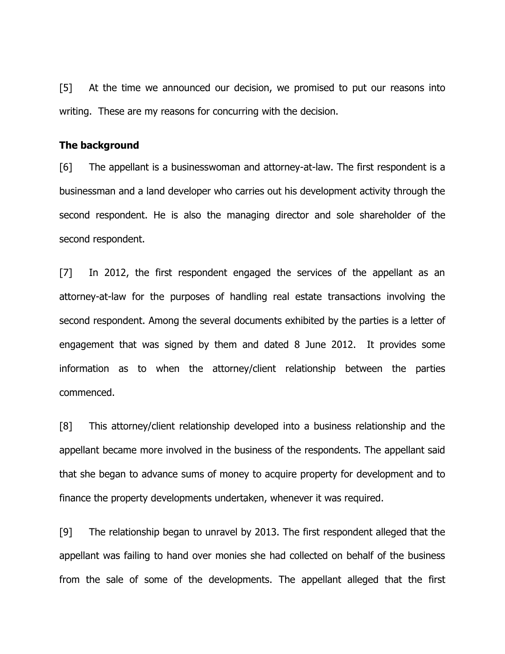[5] At the time we announced our decision, we promised to put our reasons into writing. These are my reasons for concurring with the decision.

#### **The background**

[6] The appellant is a businesswoman and attorney-at-law. The first respondent is a businessman and a land developer who carries out his development activity through the second respondent. He is also the managing director and sole shareholder of the second respondent.

[7] In 2012, the first respondent engaged the services of the appellant as an attorney-at-law for the purposes of handling real estate transactions involving the second respondent. Among the several documents exhibited by the parties is a letter of engagement that was signed by them and dated 8 June 2012. It provides some information as to when the attorney/client relationship between the parties commenced.

[8] This attorney/client relationship developed into a business relationship and the appellant became more involved in the business of the respondents. The appellant said that she began to advance sums of money to acquire property for development and to finance the property developments undertaken, whenever it was required.

[9] The relationship began to unravel by 2013. The first respondent alleged that the appellant was failing to hand over monies she had collected on behalf of the business from the sale of some of the developments. The appellant alleged that the first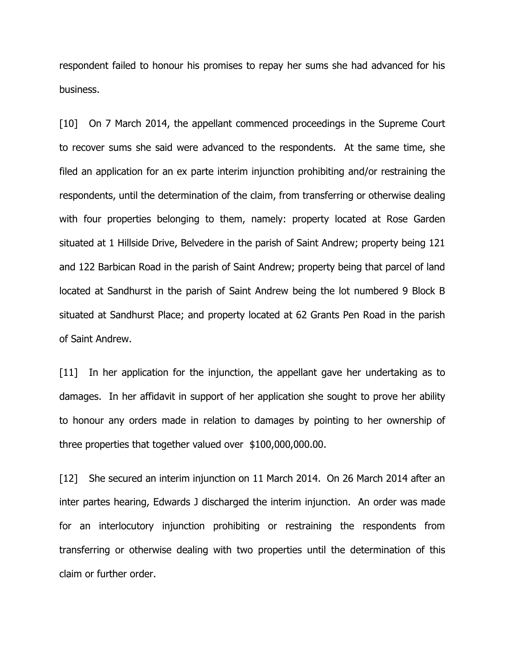respondent failed to honour his promises to repay her sums she had advanced for his business.

[10] On 7 March 2014, the appellant commenced proceedings in the Supreme Court to recover sums she said were advanced to the respondents. At the same time, she filed an application for an ex parte interim injunction prohibiting and/or restraining the respondents, until the determination of the claim, from transferring or otherwise dealing with four properties belonging to them, namely: property located at Rose Garden situated at 1 Hillside Drive, Belvedere in the parish of Saint Andrew; property being 121 and 122 Barbican Road in the parish of Saint Andrew; property being that parcel of land located at Sandhurst in the parish of Saint Andrew being the lot numbered 9 Block B situated at Sandhurst Place; and property located at 62 Grants Pen Road in the parish of Saint Andrew.

[11] In her application for the injunction, the appellant gave her undertaking as to damages. In her affidavit in support of her application she sought to prove her ability to honour any orders made in relation to damages by pointing to her ownership of three properties that together valued over \$100,000,000.00.

[12] She secured an interim injunction on 11 March 2014. On 26 March 2014 after an inter partes hearing, Edwards J discharged the interim injunction. An order was made for an interlocutory injunction prohibiting or restraining the respondents from transferring or otherwise dealing with two properties until the determination of this claim or further order.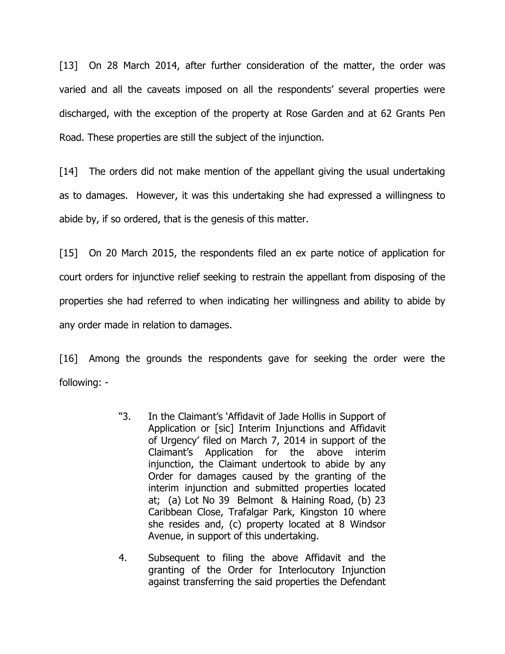[13] On 28 March 2014, after further consideration of the matter, the order was varied and all the caveats imposed on all the respondents' several properties were discharged, with the exception of the property at Rose Garden and at 62 Grants Pen Road. These properties are still the subject of the injunction.

[14] The orders did not make mention of the appellant giving the usual undertaking as to damages. However, it was this undertaking she had expressed a willingness to abide by, if so ordered, that is the genesis of this matter.

[15] On 20 March 2015, the respondents filed an ex parte notice of application for court orders for injunctive relief seeking to restrain the appellant from disposing of the properties she had referred to when indicating her willingness and ability to abide by any order made in relation to damages.

[16] Among the grounds the respondents gave for seeking the order were the following: -

- "3. In the Claimant's 'Affidavit of Jade Hollis in Support of Application or [sic] Interim Injunctions and Affidavit of Urgency' filed on March 7, 2014 in support of the Claimant's Application for the above interim injunction, the Claimant undertook to abide by any Order for damages caused by the granting of the interim injunction and submitted properties located at; (a) Lot No 39 Belmont & Haining Road, (b) 23 Caribbean Close, Trafalgar Park, Kingston 10 where she resides and, (c) property located at 8 Windsor Avenue, in support of this undertaking.
- 4. Subsequent to filing the above Affidavit and the granting of the Order for Interlocutory Injunction against transferring the said properties the Defendant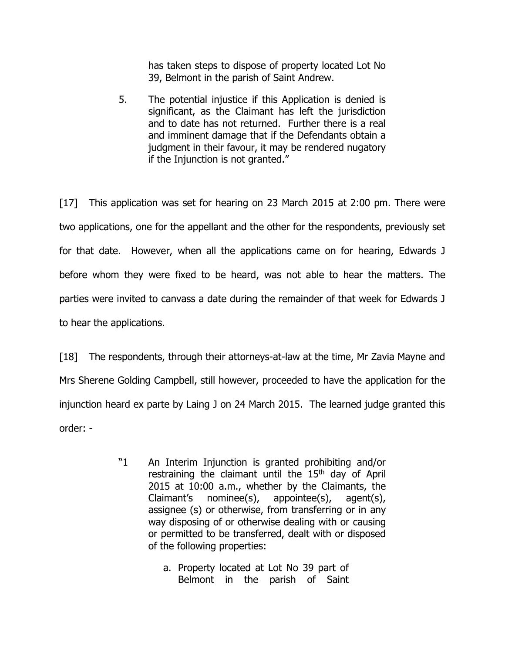has taken steps to dispose of property located Lot No 39, Belmont in the parish of Saint Andrew.

5. The potential injustice if this Application is denied is significant, as the Claimant has left the jurisdiction and to date has not returned. Further there is a real and imminent damage that if the Defendants obtain a judgment in their favour, it may be rendered nugatory if the Injunction is not granted."

[17] This application was set for hearing on 23 March 2015 at 2:00 pm. There were two applications, one for the appellant and the other for the respondents, previously set for that date. However, when all the applications came on for hearing, Edwards J before whom they were fixed to be heard, was not able to hear the matters. The parties were invited to canvass a date during the remainder of that week for Edwards J to hear the applications.

[18] The respondents, through their attorneys-at-law at the time, Mr Zavia Mayne and Mrs Sherene Golding Campbell, still however, proceeded to have the application for the injunction heard ex parte by Laing J on 24 March 2015. The learned judge granted this order: -

- "1 An Interim Injunction is granted prohibiting and/or restraining the claimant until the  $15<sup>th</sup>$  day of April 2015 at 10:00 a.m., whether by the Claimants, the Claimant's nominee(s), appointee(s), agent(s), assignee (s) or otherwise, from transferring or in any way disposing of or otherwise dealing with or causing or permitted to be transferred, dealt with or disposed of the following properties:
	- a. Property located at Lot No 39 part of Belmont in the parish of Saint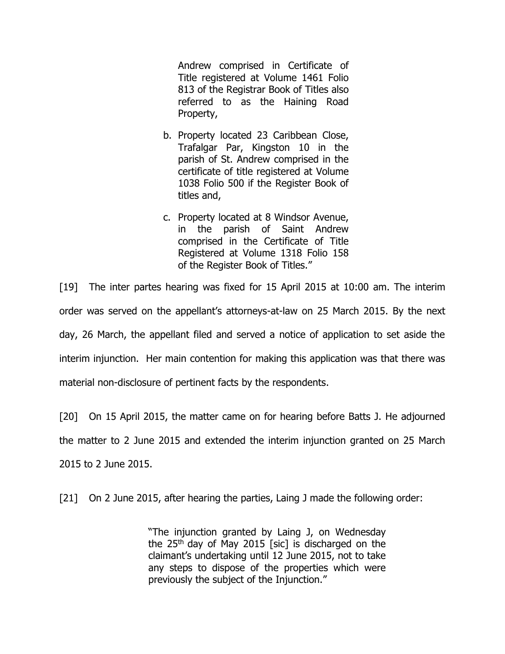Andrew comprised in Certificate of Title registered at Volume 1461 Folio 813 of the Registrar Book of Titles also referred to as the Haining Road Property,

- b. Property located 23 Caribbean Close, Trafalgar Par, Kingston 10 in the parish of St. Andrew comprised in the certificate of title registered at Volume 1038 Folio 500 if the Register Book of titles and,
- c. Property located at 8 Windsor Avenue, in the parish of Saint Andrew comprised in the Certificate of Title Registered at Volume 1318 Folio 158 of the Register Book of Titles."

[19] The inter partes hearing was fixed for 15 April 2015 at 10:00 am. The interim order was served on the appellant's attorneys-at-law on 25 March 2015. By the next day, 26 March, the appellant filed and served a notice of application to set aside the interim injunction. Her main contention for making this application was that there was material non-disclosure of pertinent facts by the respondents.

[20] On 15 April 2015, the matter came on for hearing before Batts J. He adjourned the matter to 2 June 2015 and extended the interim injunction granted on 25 March 2015 to 2 June 2015.

[21] On 2 June 2015, after hearing the parties, Laing J made the following order:

"The injunction granted by Laing J, on Wednesday the 25<sup>th</sup> day of May 2015 [sic] is discharged on the claimant's undertaking until 12 June 2015, not to take any steps to dispose of the properties which were previously the subject of the Injunction."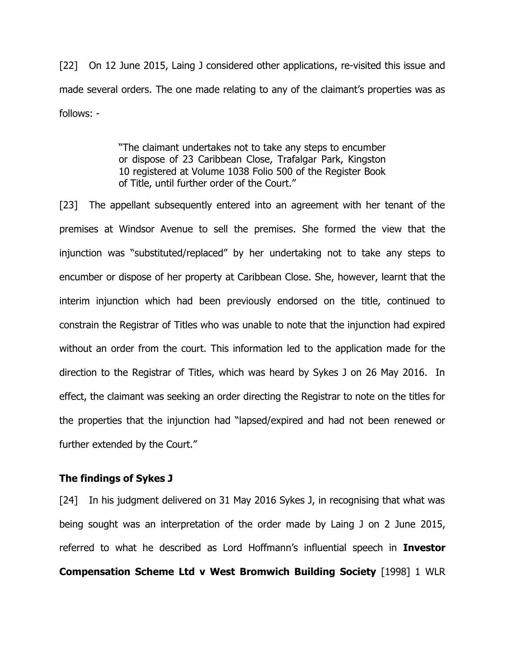[22] On 12 June 2015, Laing J considered other applications, re-visited this issue and made several orders. The one made relating to any of the claimant's properties was as follows: -

> "The claimant undertakes not to take any steps to encumber or dispose of 23 Caribbean Close, Trafalgar Park, Kingston 10 registered at Volume 1038 Folio 500 of the Register Book of Title, until further order of the Court."

[23] The appellant subsequently entered into an agreement with her tenant of the premises at Windsor Avenue to sell the premises. She formed the view that the injunction was "substituted/replaced" by her undertaking not to take any steps to encumber or dispose of her property at Caribbean Close. She, however, learnt that the interim injunction which had been previously endorsed on the title, continued to constrain the Registrar of Titles who was unable to note that the injunction had expired without an order from the court. This information led to the application made for the direction to the Registrar of Titles, which was heard by Sykes J on 26 May 2016. In effect, the claimant was seeking an order directing the Registrar to note on the titles for the properties that the injunction had "lapsed/expired and had not been renewed or further extended by the Court."

## **The findings of Sykes J**

[24] In his judgment delivered on 31 May 2016 Sykes J, in recognising that what was being sought was an interpretation of the order made by Laing J on 2 June 2015, referred to what he described as Lord Hoffmann's influential speech in **Investor Compensation Scheme Ltd v West Bromwich Building Society** [1998] 1 WLR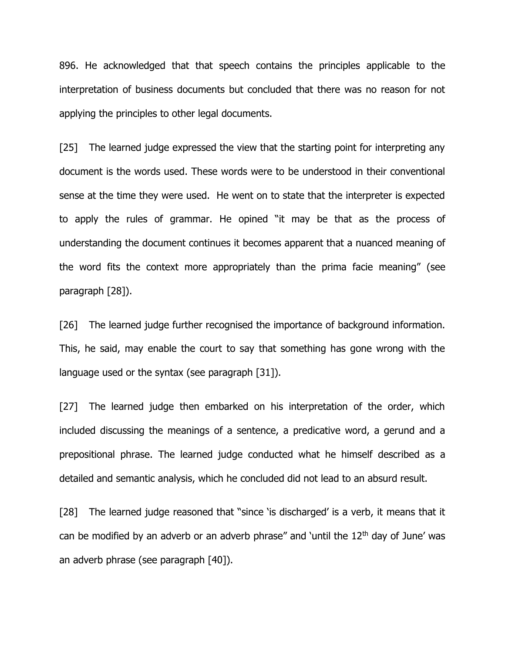896. He acknowledged that that speech contains the principles applicable to the interpretation of business documents but concluded that there was no reason for not applying the principles to other legal documents.

[25] The learned judge expressed the view that the starting point for interpreting any document is the words used. These words were to be understood in their conventional sense at the time they were used. He went on to state that the interpreter is expected to apply the rules of grammar. He opined "it may be that as the process of understanding the document continues it becomes apparent that a nuanced meaning of the word fits the context more appropriately than the prima facie meaning" (see paragraph [28]).

[26] The learned judge further recognised the importance of background information. This, he said, may enable the court to say that something has gone wrong with the language used or the syntax (see paragraph [31]).

[27] The learned judge then embarked on his interpretation of the order, which included discussing the meanings of a sentence, a predicative word, a gerund and a prepositional phrase. The learned judge conducted what he himself described as a detailed and semantic analysis, which he concluded did not lead to an absurd result.

[28] The learned judge reasoned that "since 'is discharged' is a verb, it means that it can be modified by an adverb or an adverb phrase" and 'until the  $12<sup>th</sup>$  day of June' was an adverb phrase (see paragraph [40]).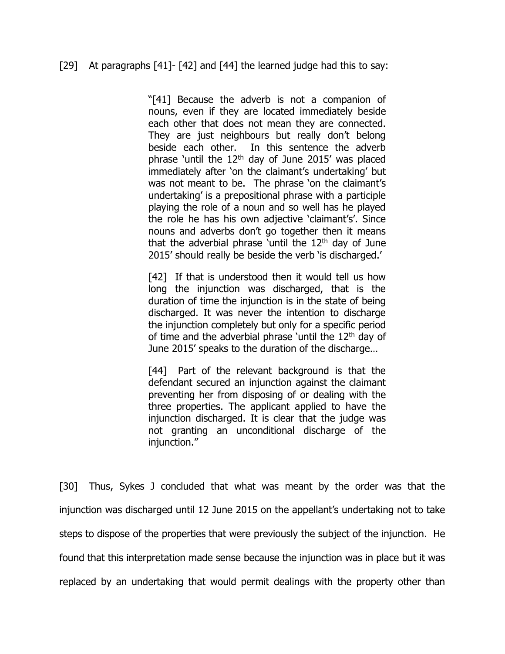## [29] At paragraphs [41]- [42] and [44] the learned judge had this to say:

"[41] Because the adverb is not a companion of nouns, even if they are located immediately beside each other that does not mean they are connected. They are just neighbours but really don't belong beside each other. In this sentence the adverb phrase 'until the  $12<sup>th</sup>$  day of June 2015' was placed immediately after 'on the claimant's undertaking' but was not meant to be. The phrase 'on the claimant's undertaking' is a prepositional phrase with a participle playing the role of a noun and so well has he played the role he has his own adjective 'claimant's'. Since nouns and adverbs don't go together then it means that the adverbial phrase 'until the  $12<sup>th</sup>$  day of June 2015' should really be beside the verb 'is discharged.'

[42] If that is understood then it would tell us how long the injunction was discharged, that is the duration of time the injunction is in the state of being discharged. It was never the intention to discharge the injunction completely but only for a specific period of time and the adverbial phrase 'until the  $12<sup>th</sup>$  day of June 2015' speaks to the duration of the discharge…

[44] Part of the relevant background is that the defendant secured an injunction against the claimant preventing her from disposing of or dealing with the three properties. The applicant applied to have the injunction discharged. It is clear that the judge was not granting an unconditional discharge of the injunction."

[30] Thus, Sykes J concluded that what was meant by the order was that the injunction was discharged until 12 June 2015 on the appellant's undertaking not to take steps to dispose of the properties that were previously the subject of the injunction. He found that this interpretation made sense because the injunction was in place but it was replaced by an undertaking that would permit dealings with the property other than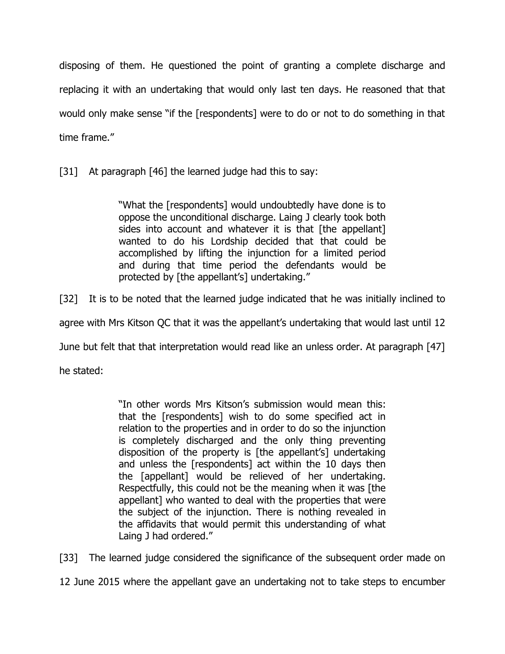disposing of them. He questioned the point of granting a complete discharge and replacing it with an undertaking that would only last ten days. He reasoned that that would only make sense "if the [respondents] were to do or not to do something in that time frame."

[31] At paragraph [46] the learned judge had this to say:

"What the [respondents] would undoubtedly have done is to oppose the unconditional discharge. Laing J clearly took both sides into account and whatever it is that [the appellant] wanted to do his Lordship decided that that could be accomplished by lifting the injunction for a limited period and during that time period the defendants would be protected by [the appellant's] undertaking."

[32] It is to be noted that the learned judge indicated that he was initially inclined to

agree with Mrs Kitson QC that it was the appellant's undertaking that would last until 12

June but felt that that interpretation would read like an unless order. At paragraph [47]

he stated:

"In other words Mrs Kitson's submission would mean this: that the [respondents] wish to do some specified act in relation to the properties and in order to do so the injunction is completely discharged and the only thing preventing disposition of the property is [the appellant's] undertaking and unless the [respondents] act within the 10 days then the [appellant] would be relieved of her undertaking. Respectfully, this could not be the meaning when it was [the appellant] who wanted to deal with the properties that were the subject of the injunction. There is nothing revealed in the affidavits that would permit this understanding of what Laing J had ordered."

[33] The learned judge considered the significance of the subsequent order made on

12 June 2015 where the appellant gave an undertaking not to take steps to encumber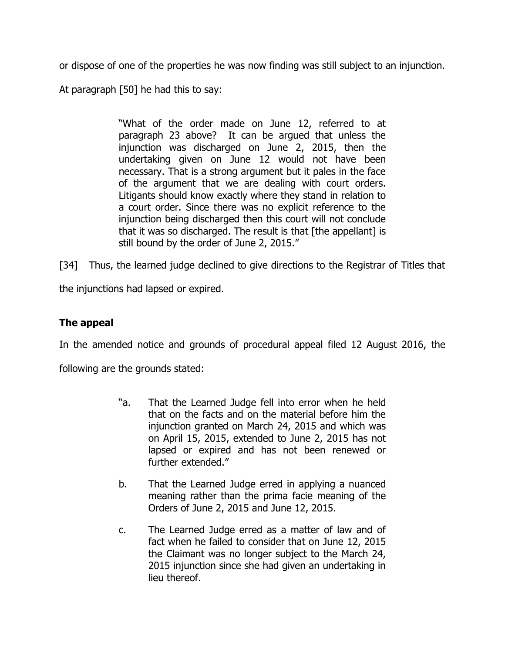or dispose of one of the properties he was now finding was still subject to an injunction.

At paragraph [50] he had this to say:

"What of the order made on June 12, referred to at paragraph 23 above? It can be argued that unless the injunction was discharged on June 2, 2015, then the undertaking given on June 12 would not have been necessary. That is a strong argument but it pales in the face of the argument that we are dealing with court orders. Litigants should know exactly where they stand in relation to a court order. Since there was no explicit reference to the injunction being discharged then this court will not conclude that it was so discharged. The result is that [the appellant] is still bound by the order of June 2, 2015."

[34] Thus, the learned judge declined to give directions to the Registrar of Titles that

the injunctions had lapsed or expired.

## **The appeal**

In the amended notice and grounds of procedural appeal filed 12 August 2016, the

following are the grounds stated:

- "a. That the Learned Judge fell into error when he held that on the facts and on the material before him the injunction granted on March 24, 2015 and which was on April 15, 2015, extended to June 2, 2015 has not lapsed or expired and has not been renewed or further extended."
- b. That the Learned Judge erred in applying a nuanced meaning rather than the prima facie meaning of the Orders of June 2, 2015 and June 12, 2015.
- c. The Learned Judge erred as a matter of law and of fact when he failed to consider that on June 12, 2015 the Claimant was no longer subject to the March 24, 2015 injunction since she had given an undertaking in lieu thereof.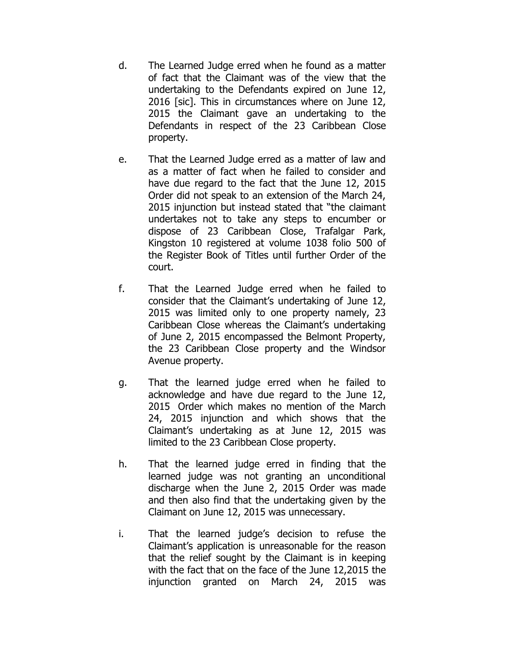- d. The Learned Judge erred when he found as a matter of fact that the Claimant was of the view that the undertaking to the Defendants expired on June 12, 2016 [sic]. This in circumstances where on June 12, 2015 the Claimant gave an undertaking to the Defendants in respect of the 23 Caribbean Close property.
- e. That the Learned Judge erred as a matter of law and as a matter of fact when he failed to consider and have due regard to the fact that the June 12, 2015 Order did not speak to an extension of the March 24, 2015 injunction but instead stated that "the claimant undertakes not to take any steps to encumber or dispose of 23 Caribbean Close, Trafalgar Park, Kingston 10 registered at volume 1038 folio 500 of the Register Book of Titles until further Order of the court.
- f. That the Learned Judge erred when he failed to consider that the Claimant's undertaking of June 12, 2015 was limited only to one property namely, 23 Caribbean Close whereas the Claimant's undertaking of June 2, 2015 encompassed the Belmont Property, the 23 Caribbean Close property and the Windsor Avenue property.
- g. That the learned judge erred when he failed to acknowledge and have due regard to the June 12, 2015 Order which makes no mention of the March 24, 2015 injunction and which shows that the Claimant's undertaking as at June 12, 2015 was limited to the 23 Caribbean Close property.
- h. That the learned judge erred in finding that the learned judge was not granting an unconditional discharge when the June 2, 2015 Order was made and then also find that the undertaking given by the Claimant on June 12, 2015 was unnecessary.
- i. That the learned judge's decision to refuse the Claimant's application is unreasonable for the reason that the relief sought by the Claimant is in keeping with the fact that on the face of the June 12,2015 the injunction granted on March 24, 2015 was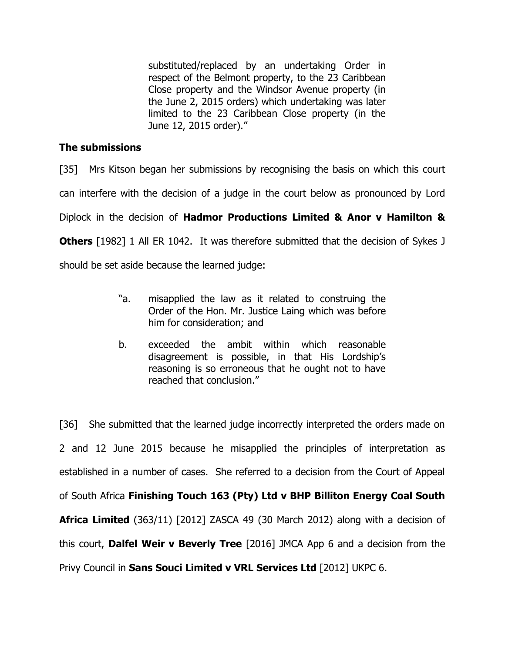substituted/replaced by an undertaking Order in respect of the Belmont property, to the 23 Caribbean Close property and the Windsor Avenue property (in the June 2, 2015 orders) which undertaking was later limited to the 23 Caribbean Close property (in the June 12, 2015 order)."

## **The submissions**

[35] Mrs Kitson began her submissions by recognising the basis on which this court

can interfere with the decision of a judge in the court below as pronounced by Lord

Diplock in the decision of **Hadmor Productions Limited & Anor v Hamilton &** 

**Others** [1982] 1 All ER 1042. It was therefore submitted that the decision of Sykes J

should be set aside because the learned judge:

- "a. misapplied the law as it related to construing the Order of the Hon. Mr. Justice Laing which was before him for consideration; and
- b. exceeded the ambit within which reasonable disagreement is possible, in that His Lordship's reasoning is so erroneous that he ought not to have reached that conclusion."

[36] She submitted that the learned judge incorrectly interpreted the orders made on 2 and 12 June 2015 because he misapplied the principles of interpretation as established in a number of cases. She referred to a decision from the Court of Appeal of South Africa **Finishing Touch 163 (Pty) Ltd v BHP Billiton Energy Coal South Africa Limited** (363/11) [2012] ZASCA 49 (30 March 2012) along with a decision of this court, **Dalfel Weir v Beverly Tree** [2016] JMCA App 6 and a decision from the Privy Council in **Sans Souci Limited v VRL Services Ltd** [2012] UKPC 6.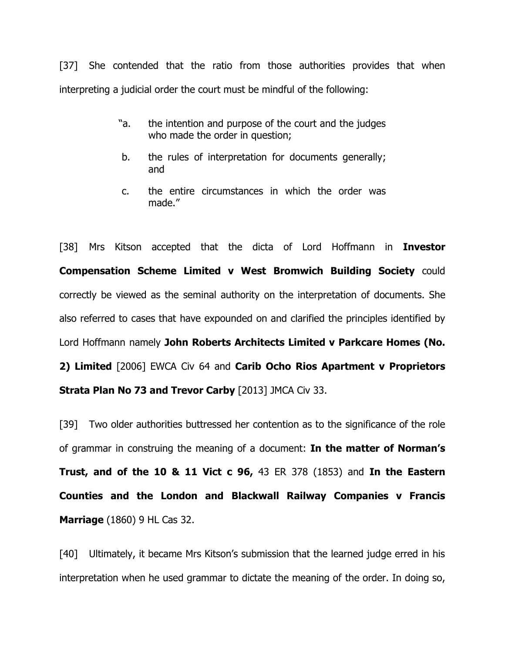[37] She contended that the ratio from those authorities provides that when interpreting a judicial order the court must be mindful of the following:

- "a. the intention and purpose of the court and the judges who made the order in question;
- b. the rules of interpretation for documents generally; and
- c. the entire circumstances in which the order was made."

[38] Mrs Kitson accepted that the dicta of Lord Hoffmann in **Investor Compensation Scheme Limited v West Bromwich Building Society** could correctly be viewed as the seminal authority on the interpretation of documents. She also referred to cases that have expounded on and clarified the principles identified by Lord Hoffmann namely **John Roberts Architects Limited v Parkcare Homes (No. 2) Limited** [2006] EWCA Civ 64 and **Carib Ocho Rios Apartment v Proprietors Strata Plan No 73 and Trevor Carby** [2013] JMCA Civ 33.

[39] Two older authorities buttressed her contention as to the significance of the role of grammar in construing the meaning of a document: **In the matter of Norman's Trust, and of the 10 & 11 Vict c 96,** 43 ER 378 (1853) and **In the Eastern Counties and the London and Blackwall Railway Companies v Francis Marriage** (1860) 9 HL Cas 32.

[40] Ultimately, it became Mrs Kitson's submission that the learned judge erred in his interpretation when he used grammar to dictate the meaning of the order. In doing so,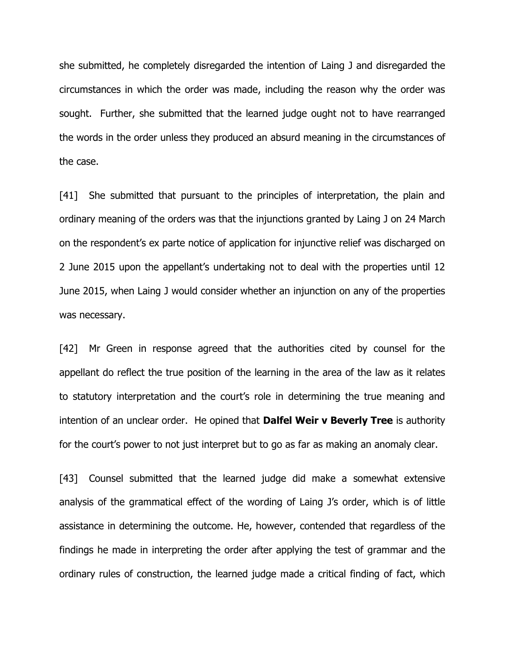she submitted, he completely disregarded the intention of Laing J and disregarded the circumstances in which the order was made, including the reason why the order was sought. Further, she submitted that the learned judge ought not to have rearranged the words in the order unless they produced an absurd meaning in the circumstances of the case.

[41] She submitted that pursuant to the principles of interpretation, the plain and ordinary meaning of the orders was that the injunctions granted by Laing J on 24 March on the respondent's ex parte notice of application for injunctive relief was discharged on 2 June 2015 upon the appellant's undertaking not to deal with the properties until 12 June 2015, when Laing J would consider whether an injunction on any of the properties was necessary.

[42] Mr Green in response agreed that the authorities cited by counsel for the appellant do reflect the true position of the learning in the area of the law as it relates to statutory interpretation and the court's role in determining the true meaning and intention of an unclear order. He opined that **Dalfel Weir v Beverly Tree** is authority for the court's power to not just interpret but to go as far as making an anomaly clear.

[43] Counsel submitted that the learned judge did make a somewhat extensive analysis of the grammatical effect of the wording of Laing J's order, which is of little assistance in determining the outcome. He, however, contended that regardless of the findings he made in interpreting the order after applying the test of grammar and the ordinary rules of construction, the learned judge made a critical finding of fact, which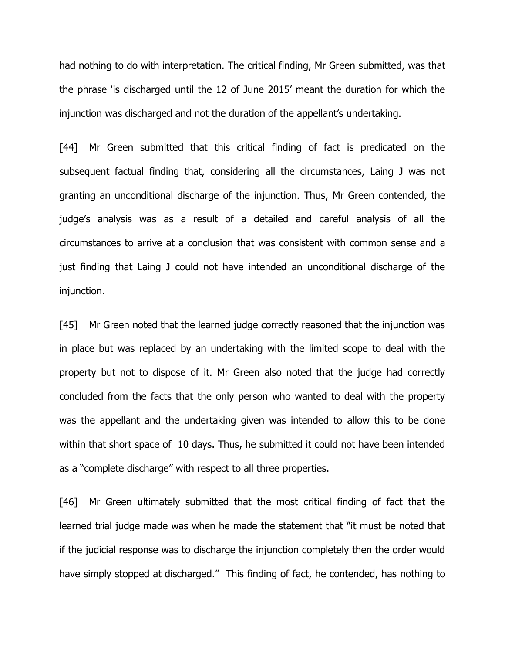had nothing to do with interpretation. The critical finding, Mr Green submitted, was that the phrase 'is discharged until the 12 of June 2015' meant the duration for which the injunction was discharged and not the duration of the appellant's undertaking.

[44] Mr Green submitted that this critical finding of fact is predicated on the subsequent factual finding that, considering all the circumstances, Laing J was not granting an unconditional discharge of the injunction. Thus, Mr Green contended, the judge's analysis was as a result of a detailed and careful analysis of all the circumstances to arrive at a conclusion that was consistent with common sense and a just finding that Laing J could not have intended an unconditional discharge of the injunction.

[45] Mr Green noted that the learned judge correctly reasoned that the injunction was in place but was replaced by an undertaking with the limited scope to deal with the property but not to dispose of it. Mr Green also noted that the judge had correctly concluded from the facts that the only person who wanted to deal with the property was the appellant and the undertaking given was intended to allow this to be done within that short space of 10 days. Thus, he submitted it could not have been intended as a "complete discharge" with respect to all three properties.

[46] Mr Green ultimately submitted that the most critical finding of fact that the learned trial judge made was when he made the statement that "it must be noted that if the judicial response was to discharge the injunction completely then the order would have simply stopped at discharged." This finding of fact, he contended, has nothing to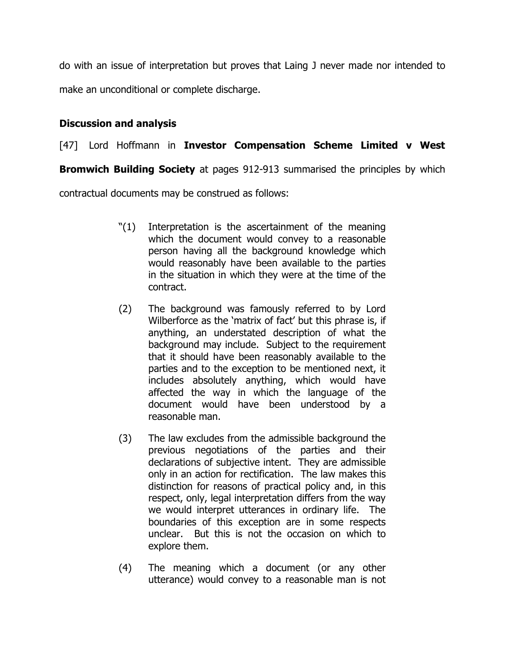do with an issue of interpretation but proves that Laing J never made nor intended to make an unconditional or complete discharge.

# **Discussion and analysis**

# [47] Lord Hoffmann in **Investor Compensation Scheme Limited v West**

**Bromwich Building Society** at pages 912-913 summarised the principles by which

contractual documents may be construed as follows:

- "(1) Interpretation is the ascertainment of the meaning which the document would convey to a reasonable person having all the background knowledge which would reasonably have been available to the parties in the situation in which they were at the time of the contract.
- (2) The background was famously referred to by Lord Wilberforce as the 'matrix of fact' but this phrase is, if anything, an understated description of what the background may include. Subject to the requirement that it should have been reasonably available to the parties and to the exception to be mentioned next, it includes absolutely anything, which would have affected the way in which the language of the document would have been understood by a reasonable man.
- (3) The law excludes from the admissible background the previous negotiations of the parties and their declarations of subjective intent. They are admissible only in an action for rectification. The law makes this distinction for reasons of practical policy and, in this respect, only, legal interpretation differs from the way we would interpret utterances in ordinary life. The boundaries of this exception are in some respects unclear. But this is not the occasion on which to explore them.
- (4) The meaning which a document (or any other utterance) would convey to a reasonable man is not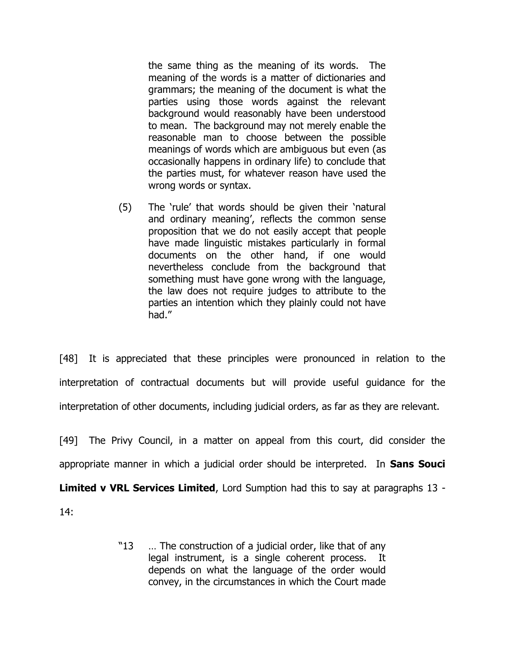the same thing as the meaning of its words. The meaning of the words is a matter of dictionaries and grammars; the meaning of the document is what the parties using those words against the relevant background would reasonably have been understood to mean. The background may not merely enable the reasonable man to choose between the possible meanings of words which are ambiguous but even (as occasionally happens in ordinary life) to conclude that the parties must, for whatever reason have used the wrong words or syntax.

(5) The 'rule' that words should be given their 'natural and ordinary meaning', reflects the common sense proposition that we do not easily accept that people have made linguistic mistakes particularly in formal documents on the other hand, if one would nevertheless conclude from the background that something must have gone wrong with the language, the law does not require judges to attribute to the parties an intention which they plainly could not have had."

[48] It is appreciated that these principles were pronounced in relation to the interpretation of contractual documents but will provide useful guidance for the interpretation of other documents, including judicial orders, as far as they are relevant.

[49] The Privy Council, in a matter on appeal from this court, did consider the appropriate manner in which a judicial order should be interpreted. In **Sans Souci** 

**Limited v VRL Services Limited**, Lord Sumption had this to say at paragraphs 13 -

14:

"13 … The construction of a judicial order, like that of any legal instrument, is a single coherent process. It depends on what the language of the order would convey, in the circumstances in which the Court made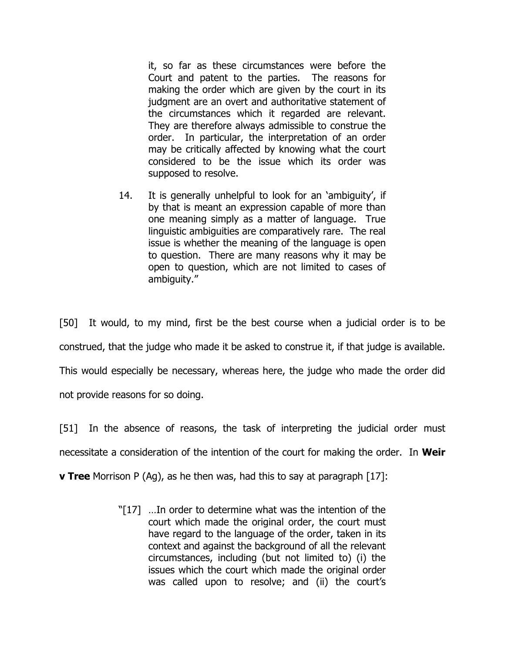it, so far as these circumstances were before the Court and patent to the parties. The reasons for making the order which are given by the court in its judgment are an overt and authoritative statement of the circumstances which it regarded are relevant. They are therefore always admissible to construe the order. In particular, the interpretation of an order may be critically affected by knowing what the court considered to be the issue which its order was supposed to resolve.

14. It is generally unhelpful to look for an 'ambiguity', if by that is meant an expression capable of more than one meaning simply as a matter of language. True linguistic ambiguities are comparatively rare. The real issue is whether the meaning of the language is open to question. There are many reasons why it may be open to question, which are not limited to cases of ambiguity."

[50] It would, to my mind, first be the best course when a judicial order is to be construed, that the judge who made it be asked to construe it, if that judge is available. This would especially be necessary, whereas here, the judge who made the order did not provide reasons for so doing.

[51] In the absence of reasons, the task of interpreting the judicial order must necessitate a consideration of the intention of the court for making the order. In **Weir** 

**v Tree** Morrison P (Ag), as he then was, had this to say at paragraph [17]:

"[17] …In order to determine what was the intention of the court which made the original order, the court must have regard to the language of the order, taken in its context and against the background of all the relevant circumstances, including (but not limited to) (i) the issues which the court which made the original order was called upon to resolve; and (ii) the court's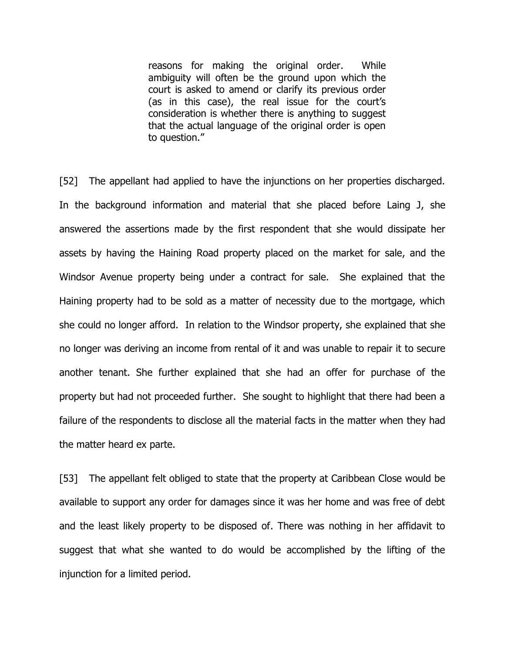reasons for making the original order. While ambiguity will often be the ground upon which the court is asked to amend or clarify its previous order (as in this case), the real issue for the court's consideration is whether there is anything to suggest that the actual language of the original order is open to question."

[52] The appellant had applied to have the injunctions on her properties discharged. In the background information and material that she placed before Laing J, she answered the assertions made by the first respondent that she would dissipate her assets by having the Haining Road property placed on the market for sale, and the Windsor Avenue property being under a contract for sale. She explained that the Haining property had to be sold as a matter of necessity due to the mortgage, which she could no longer afford. In relation to the Windsor property, she explained that she no longer was deriving an income from rental of it and was unable to repair it to secure another tenant. She further explained that she had an offer for purchase of the property but had not proceeded further. She sought to highlight that there had been a failure of the respondents to disclose all the material facts in the matter when they had the matter heard ex parte.

[53] The appellant felt obliged to state that the property at Caribbean Close would be available to support any order for damages since it was her home and was free of debt and the least likely property to be disposed of. There was nothing in her affidavit to suggest that what she wanted to do would be accomplished by the lifting of the injunction for a limited period.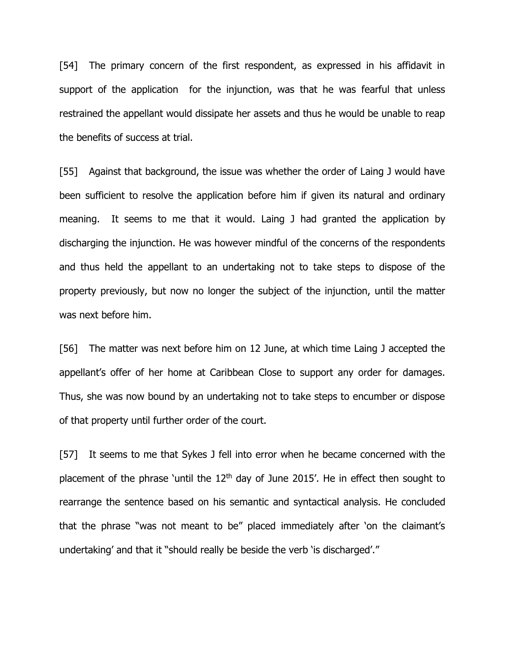[54] The primary concern of the first respondent, as expressed in his affidavit in support of the application for the injunction, was that he was fearful that unless restrained the appellant would dissipate her assets and thus he would be unable to reap the benefits of success at trial.

[55] Against that background, the issue was whether the order of Laing J would have been sufficient to resolve the application before him if given its natural and ordinary meaning. It seems to me that it would. Laing J had granted the application by discharging the injunction. He was however mindful of the concerns of the respondents and thus held the appellant to an undertaking not to take steps to dispose of the property previously, but now no longer the subject of the injunction, until the matter was next before him.

[56] The matter was next before him on 12 June, at which time Laing J accepted the appellant's offer of her home at Caribbean Close to support any order for damages. Thus, she was now bound by an undertaking not to take steps to encumber or dispose of that property until further order of the court.

[57] It seems to me that Sykes J fell into error when he became concerned with the placement of the phrase 'until the  $12<sup>th</sup>$  day of June 2015'. He in effect then sought to rearrange the sentence based on his semantic and syntactical analysis. He concluded that the phrase "was not meant to be" placed immediately after 'on the claimant's undertaking' and that it "should really be beside the verb 'is discharged'."